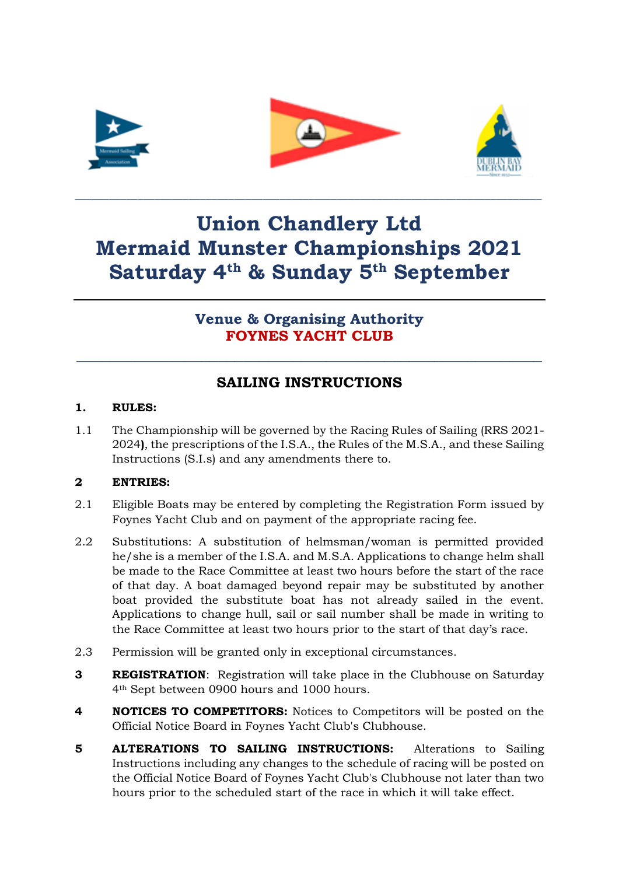





# **Union Chandlery Ltd Mermaid Munster Championships 2021 Saturday 4th & Sunday 5th September**

\_\_\_\_\_\_\_\_\_\_\_\_\_\_\_\_\_\_\_\_\_\_\_\_\_\_\_\_\_\_\_\_\_\_\_\_\_\_\_\_\_\_\_\_\_\_\_\_\_\_\_\_\_\_\_\_\_\_\_\_\_\_\_\_\_\_\_\_\_\_\_\_\_\_\_\_\_\_\_\_\_\_

# **Venue & Organising Authority FOYNES YACHT CLUB**

# **SAILING INSTRUCTIONS**

**\_\_\_\_\_\_\_\_\_\_\_\_\_\_\_\_\_\_\_\_\_\_\_\_\_\_\_\_\_\_\_\_\_\_\_\_\_\_\_\_\_\_\_\_\_\_\_\_\_\_\_\_\_\_\_\_**

### **1. RULES:**

1.1 The Championship will be governed by the Racing Rules of Sailing (RRS 2021- 2024**)**, the prescriptions of the I.S.A., the Rules of the M.S.A., and these Sailing Instructions (S.I.s) and any amendments there to.

## **2 ENTRIES:**

- 2.1 Eligible Boats may be entered by completing the Registration Form issued by Foynes Yacht Club and on payment of the appropriate racing fee.
- 2.2 Substitutions: A substitution of helmsman/woman is permitted provided he/she is a member of the I.S.A. and M.S.A. Applications to change helm shall be made to the Race Committee at least two hours before the start of the race of that day. A boat damaged beyond repair may be substituted by another boat provided the substitute boat has not already sailed in the event. Applications to change hull, sail or sail number shall be made in writing to the Race Committee at least two hours prior to the start of that day's race.
- 2.3 Permission will be granted only in exceptional circumstances.
- **3 REGISTRATION**: Registration will take place in the Clubhouse on Saturday 4th Sept between 0900 hours and 1000 hours.
- **4 NOTICES TO COMPETITORS:** Notices to Competitors will be posted on the Official Notice Board in Foynes Yacht Club's Clubhouse.
- **5 ALTERATIONS TO SAILING INSTRUCTIONS:** Alterations to Sailing Instructions including any changes to the schedule of racing will be posted on the Official Notice Board of Foynes Yacht Club's Clubhouse not later than two hours prior to the scheduled start of the race in which it will take effect.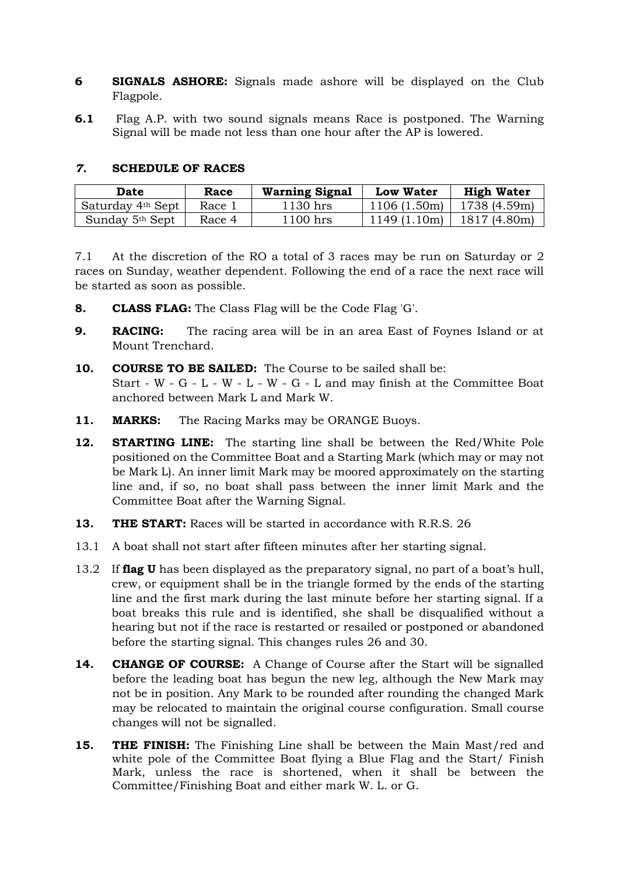- **6 SIGNALS ASHORE:** Signals made ashore will be displayed on the Club Flagpole.
- **6.1** Flag A.P. with two sound signals means Race is postponed. The Warning Signal will be made not less than one hour after the AP is lowered.

#### *7.* **SCHEDULE OF RACES**

| Date                        | Race   | <b>Warning Signal</b> | <b>Low Water</b> | <b>High Water</b> |
|-----------------------------|--------|-----------------------|------------------|-------------------|
| Saturday 4th Sept           | Race 1 | 1130 hrs              | 1106(1.50m)      | 1738 (4.59m)      |
| Sunday 5 <sup>th</sup> Sept | Race 4 | 1100 hrs              | 1149(1.10m)      | 1817 (4.80m)      |

7.1 At the discretion of the RO a total of 3 races may be run on Saturday or 2 races on Sunday, weather dependent. Following the end of a race the next race will be started as soon as possible.

- **8. CLASS FLAG:** The Class Flag will be the Code Flag 'G'.
- **9. RACING:** The racing area will be in an area East of Foynes Island or at Mount Trenchard.
- **10. COURSE TO BE SAILED:** The Course to be sailed shall be: Start - W - G - L - W - L - W - G - L and may finish at the Committee Boat anchored between Mark L and Mark W.
- **11. MARKS:** The Racing Marks may be ORANGE Buoys.
- **12. STARTING LINE:** The starting line shall be between the Red/White Pole positioned on the Committee Boat and a Starting Mark (which may or may not be Mark L). An inner limit Mark may be moored approximately on the starting line and, if so, no boat shall pass between the inner limit Mark and the Committee Boat after the Warning Signal.
- **13. THE START:** Races will be started in accordance with R.R.S. 26
- 13.1 A boat shall not start after fifteen minutes after her starting signal.
- 13.2 If **flag U** has been displayed as the preparatory signal, no part of a boat's hull, crew, or equipment shall be in the triangle formed by the ends of the starting line and the first mark during the last minute before her starting signal. If a boat breaks this rule and is identified, she shall be disqualified without a hearing but not if the race is restarted or resailed or postponed or abandoned before the starting signal. This changes rules 26 and 30.
- **14. CHANGE OF COURSE:** A Change of Course after the Start will be signalled before the leading boat has begun the new leg, although the New Mark may not be in position. Any Mark to be rounded after rounding the changed Mark may be relocated to maintain the original course configuration. Small course changes will not be signalled.
- **15. THE FINISH:** The Finishing Line shall be between the Main Mast/red and white pole of the Committee Boat flying a Blue Flag and the Start/ Finish Mark, unless the race is shortened, when it shall be between the Committee/Finishing Boat and either mark W. L. or G.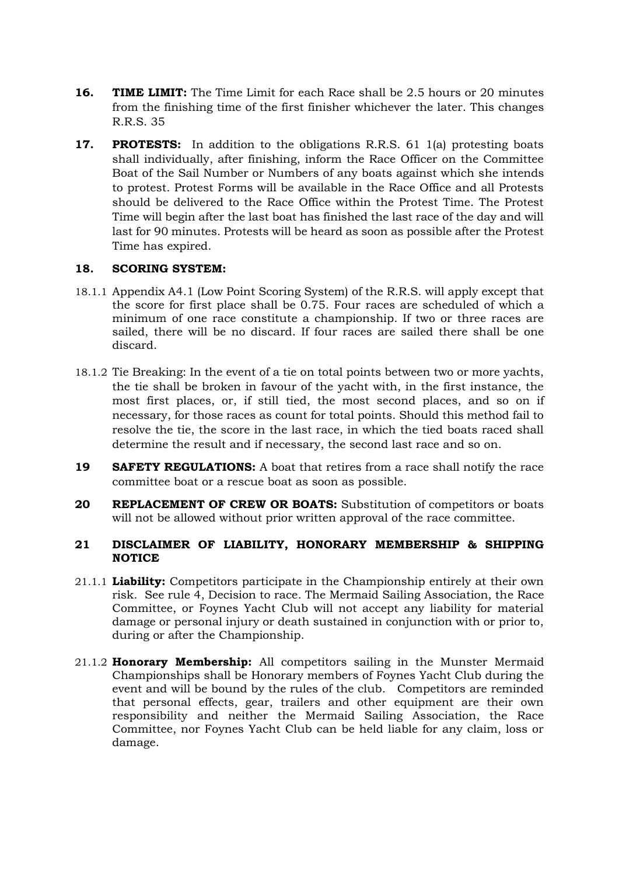- **16. TIME LIMIT:** The Time Limit for each Race shall be 2.5 hours or 20 minutes from the finishing time of the first finisher whichever the later. This changes R.R.S. 35
- **17. PROTESTS:** In addition to the obligations R.R.S. 61 1(a) protesting boats shall individually, after finishing, inform the Race Officer on the Committee Boat of the Sail Number or Numbers of any boats against which she intends to protest. Protest Forms will be available in the Race Office and all Protests should be delivered to the Race Office within the Protest Time. The Protest Time will begin after the last boat has finished the last race of the day and will last for 90 minutes. Protests will be heard as soon as possible after the Protest Time has expired.

#### **18. SCORING SYSTEM:**

- 18.1.1 Appendix A4.1 (Low Point Scoring System) of the R.R.S. will apply except that the score for first place shall be 0.75. Four races are scheduled of which a minimum of one race constitute a championship. If two or three races are sailed, there will be no discard. If four races are sailed there shall be one discard.
- 18.1.2 Tie Breaking: In the event of a tie on total points between two or more yachts, the tie shall be broken in favour of the yacht with, in the first instance, the most first places, or, if still tied, the most second places, and so on if necessary, for those races as count for total points. Should this method fail to resolve the tie, the score in the last race, in which the tied boats raced shall determine the result and if necessary, the second last race and so on.
- **19 SAFETY REGULATIONS:** A boat that retires from a race shall notify the race committee boat or a rescue boat as soon as possible.
- **20 REPLACEMENT OF CREW OR BOATS:** Substitution of competitors or boats will not be allowed without prior written approval of the race committee.

#### **21 DISCLAIMER OF LIABILITY, HONORARY MEMBERSHIP & SHIPPING NOTICE**

- 21.1.1 **Liability:** Competitors participate in the Championship entirely at their own risk. See rule 4, Decision to race. The Mermaid Sailing Association, the Race Committee, or Foynes Yacht Club will not accept any liability for material damage or personal injury or death sustained in conjunction with or prior to, during or after the Championship.
- 21.1.2 **Honorary Membership:** All competitors sailing in the Munster Mermaid Championships shall be Honorary members of Foynes Yacht Club during the event and will be bound by the rules of the club. Competitors are reminded that personal effects, gear, trailers and other equipment are their own responsibility and neither the Mermaid Sailing Association, the Race Committee, nor Foynes Yacht Club can be held liable for any claim, loss or damage.